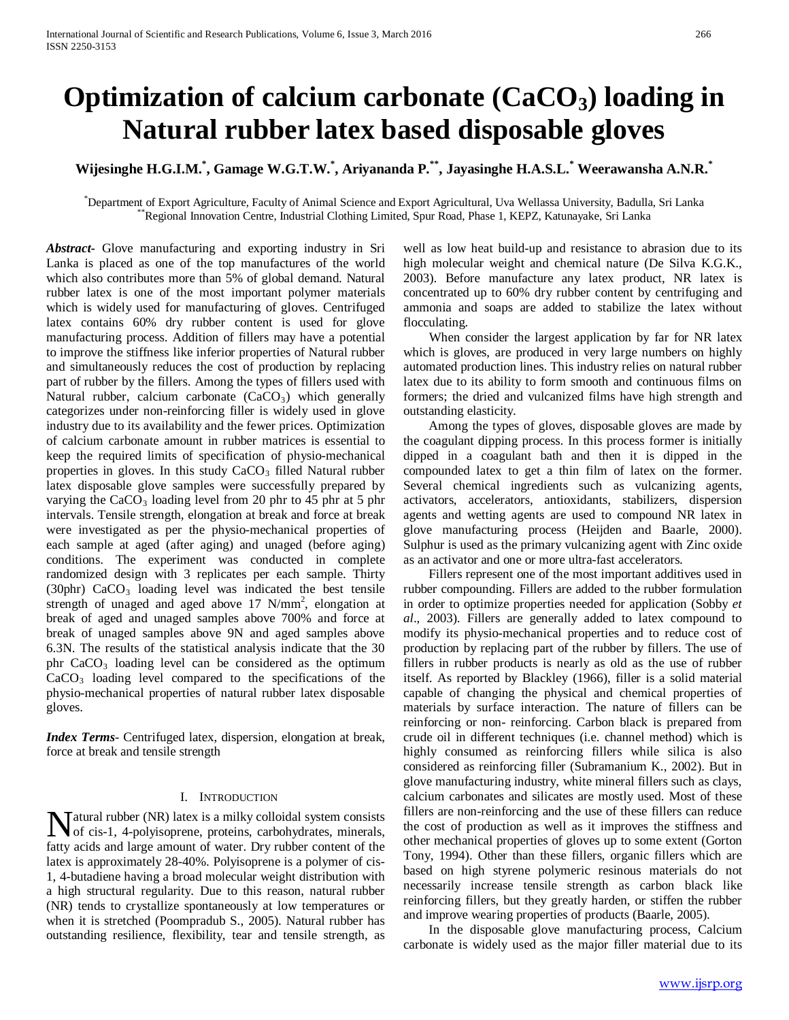# **Optimization of calcium carbonate (CaCO<sub>3</sub>) loading in Natural rubber latex based disposable gloves**

# **Wijesinghe H.G.I.M.\* , Gamage W.G.T.W.\* , Ariyananda P.\*\*, Jayasinghe H.A.S.L.\* Weerawansha A.N.R.\***

\*Department of Export Agriculture, Faculty of Animal Science and Export Agricultural, Uva Wellassa University, Badulla, Sri Lanka<br>\*\*Regional Innovation Centre, Industrial Clothing Limited, Spur Road, Phase 1, KEPZ, Katunay

*Abstract***-** Glove manufacturing and exporting industry in Sri Lanka is placed as one of the top manufactures of the world which also contributes more than 5% of global demand. Natural rubber latex is one of the most important polymer materials which is widely used for manufacturing of gloves. Centrifuged latex contains 60% dry rubber content is used for glove manufacturing process. Addition of fillers may have a potential to improve the stiffness like inferior properties of Natural rubber and simultaneously reduces the cost of production by replacing part of rubber by the fillers. Among the types of fillers used with Natural rubber, calcium carbonate  $(CaCO<sub>3</sub>)$  which generally categorizes under non-reinforcing filler is widely used in glove industry due to its availability and the fewer prices. Optimization of calcium carbonate amount in rubber matrices is essential to keep the required limits of specification of physio-mechanical properties in gloves. In this study  $CaCO<sub>3</sub>$  filled Natural rubber latex disposable glove samples were successfully prepared by varying the  $CaCO<sub>3</sub>$  loading level from 20 phr to 45 phr at 5 phr intervals. Tensile strength, elongation at break and force at break were investigated as per the physio-mechanical properties of each sample at aged (after aging) and unaged (before aging) conditions. The experiment was conducted in complete randomized design with 3 replicates per each sample. Thirty (30phr)  $CaCO<sub>3</sub>$  loading level was indicated the best tensile strength of unaged and aged above 17 N/mm<sup>2</sup>, elongation at break of aged and unaged samples above 700% and force at break of unaged samples above 9N and aged samples above 6.3N. The results of the statistical analysis indicate that the 30 phr  $CaCO<sub>3</sub>$  loading level can be considered as the optimum  $CaCO<sub>3</sub>$  loading level compared to the specifications of the physio-mechanical properties of natural rubber latex disposable gloves.

*Index Terms*- Centrifuged latex, dispersion, elongation at break, force at break and tensile strength

#### I. INTRODUCTION

atural rubber (NR) latex is a milky colloidal system consists Matural rubber (NR) latex is a milky colloidal system consists<br>of cis-1, 4-polyisoprene, proteins, carbohydrates, minerals, fatty acids and large amount of water. Dry rubber content of the latex is approximately 28-40%. Polyisoprene is a polymer of cis-1, 4-butadiene having a broad molecular weight distribution with a high structural regularity. Due to this reason, natural rubber (NR) tends to crystallize spontaneously at low temperatures or when it is stretched (Poompradub S., 2005). Natural rubber has outstanding resilience, flexibility, tear and tensile strength, as

well as low heat build-up and resistance to abrasion due to its high molecular weight and chemical nature (De Silva K.G.K., 2003). Before manufacture any latex product, NR latex is concentrated up to 60% dry rubber content by centrifuging and ammonia and soaps are added to stabilize the latex without flocculating.

 When consider the largest application by far for NR latex which is gloves, are produced in very large numbers on highly automated production lines. This industry relies on natural rubber latex due to its ability to form smooth and continuous films on formers; the dried and vulcanized films have high strength and outstanding elasticity.

 Among the types of gloves, disposable gloves are made by the coagulant dipping process. In this process former is initially dipped in a coagulant bath and then it is dipped in the compounded latex to get a thin film of latex on the former. Several chemical ingredients such as vulcanizing agents, activators, accelerators, antioxidants, stabilizers, dispersion agents and wetting agents are used to compound NR latex in glove manufacturing process (Heijden and Baarle, 2000). Sulphur is used as the primary vulcanizing agent with Zinc oxide as an activator and one or more ultra-fast accelerators.

 Fillers represent one of the most important additives used in rubber compounding. Fillers are added to the rubber formulation in order to optimize properties needed for application (Sobby *et al*., 2003). Fillers are generally added to latex compound to modify its physio-mechanical properties and to reduce cost of production by replacing part of the rubber by fillers. The use of fillers in rubber products is nearly as old as the use of rubber itself. As reported by Blackley (1966), filler is a solid material capable of changing the physical and chemical properties of materials by surface interaction. The nature of fillers can be reinforcing or non- reinforcing. Carbon black is prepared from crude oil in different techniques (i.e. channel method) which is highly consumed as reinforcing fillers while silica is also considered as reinforcing filler (Subramanium K., 2002). But in glove manufacturing industry, white mineral fillers such as clays, calcium carbonates and silicates are mostly used. Most of these fillers are non-reinforcing and the use of these fillers can reduce the cost of production as well as it improves the stiffness and other mechanical properties of gloves up to some extent (Gorton Tony, 1994). Other than these fillers, organic fillers which are based on high styrene polymeric resinous materials do not necessarily increase tensile strength as carbon black like reinforcing fillers, but they greatly harden, or stiffen the rubber and improve wearing properties of products (Baarle, 2005).

 In the disposable glove manufacturing process, Calcium carbonate is widely used as the major filler material due to its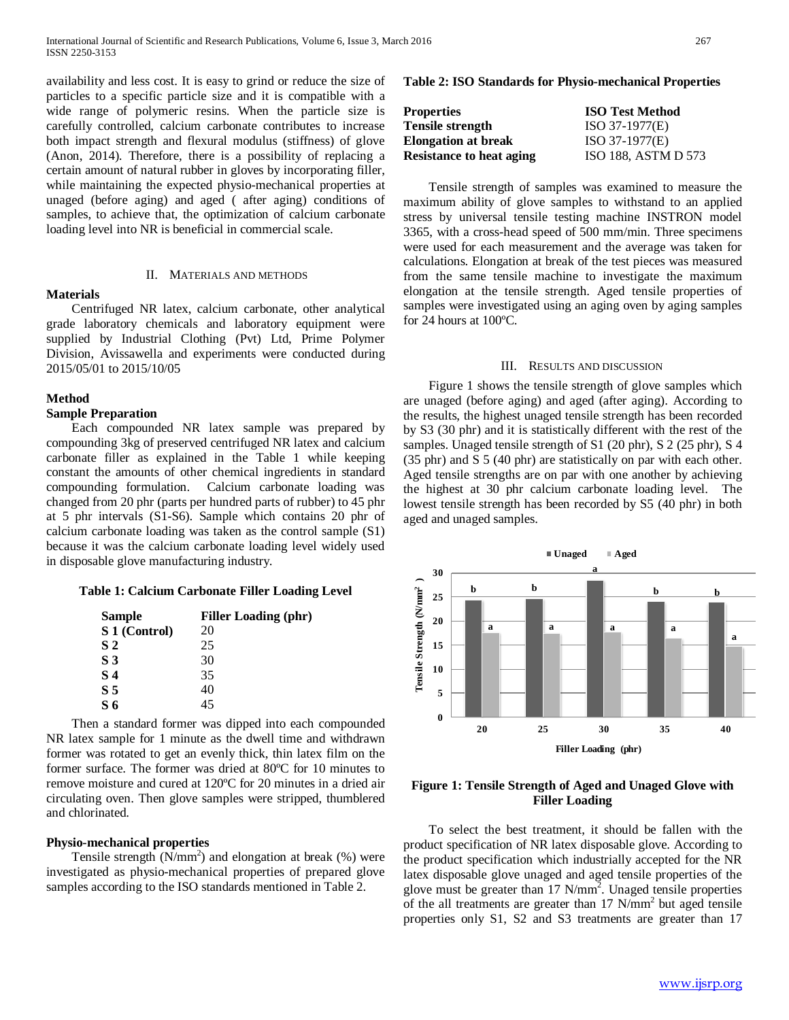availability and less cost. It is easy to grind or reduce the size of particles to a specific particle size and it is compatible with a wide range of polymeric resins. When the particle size is carefully controlled, calcium carbonate contributes to increase both impact strength and flexural modulus (stiffness) of glove (Anon, 2014). Therefore, there is a possibility of replacing a certain amount of natural rubber in gloves by incorporating filler, while maintaining the expected physio-mechanical properties at unaged (before aging) and aged ( after aging) conditions of samples, to achieve that, the optimization of calcium carbonate loading level into NR is beneficial in commercial scale.

# II. MATERIALS AND METHODS

#### **Materials**

 Centrifuged NR latex, calcium carbonate, other analytical grade laboratory chemicals and laboratory equipment were supplied by Industrial Clothing (Pvt) Ltd, Prime Polymer Division, Avissawella and experiments were conducted during 2015/05/01 to 2015/10/05

#### **Method**

### **Sample Preparation**

 Each compounded NR latex sample was prepared by compounding 3kg of preserved centrifuged NR latex and calcium carbonate filler as explained in the Table 1 while keeping constant the amounts of other chemical ingredients in standard compounding formulation. Calcium carbonate loading was changed from 20 phr (parts per hundred parts of rubber) to 45 phr at 5 phr intervals (S1-S6). Sample which contains 20 phr of calcium carbonate loading was taken as the control sample (S1) because it was the calcium carbonate loading level widely used in disposable glove manufacturing industry.

#### **Table 1: Calcium Carbonate Filler Loading Level**

| <b>Sample</b>  | <b>Filler Loading (phr)</b> |
|----------------|-----------------------------|
| S 1 (Control)  | 20                          |
| S <sub>2</sub> | 25                          |
| S 3            | 30                          |
| S 4            | 35                          |
| S <sub>5</sub> | 40                          |
| S 6            | 45                          |

 Then a standard former was dipped into each compounded NR latex sample for 1 minute as the dwell time and withdrawn former was rotated to get an evenly thick, thin latex film on the former surface. The former was dried at 80ºC for 10 minutes to remove moisture and cured at 120ºC for 20 minutes in a dried air circulating oven. Then glove samples were stripped, thumblered and chlorinated.

#### **Physio-mechanical properties**

Tensile strength  $(N/mm<sup>2</sup>)$  and elongation at break  $(\%)$  were investigated as physio-mechanical properties of prepared glove samples according to the ISO standards mentioned in Table 2.

#### **Table 2: ISO Standards for Physio-mechanical Properties**

| Properties                      | <b>ISO Test Method</b> |
|---------------------------------|------------------------|
| Tensile strength                | $ISO 37-1977(E)$       |
| Elongation at break             | $ISO 37-1977(E)$       |
| <b>Resistance to heat aging</b> | ISO 188, ASTM D 573    |

 Tensile strength of samples was examined to measure the maximum ability of glove samples to withstand to an applied stress by universal tensile testing machine INSTRON model 3365, with a cross-head speed of 500 mm/min. Three specimens were used for each measurement and the average was taken for calculations. Elongation at break of the test pieces was measured from the same tensile machine to investigate the maximum elongation at the tensile strength. Aged tensile properties of samples were investigated using an aging oven by aging samples for 24 hours at 100ºC.

#### III. RESULTS AND DISCUSSION

 Figure 1 shows the tensile strength of glove samples which are unaged (before aging) and aged (after aging). According to the results, the highest unaged tensile strength has been recorded by S3 (30 phr) and it is statistically different with the rest of the samples. Unaged tensile strength of S1 (20 phr), S 2 (25 phr), S 4 (35 phr) and S 5 (40 phr) are statistically on par with each other. Aged tensile strengths are on par with one another by achieving the highest at 30 phr calcium carbonate loading level. The lowest tensile strength has been recorded by S5 (40 phr) in both aged and unaged samples.



### **Figure 1: Tensile Strength of Aged and Unaged Glove with Filler Loading**

 To select the best treatment, it should be fallen with the product specification of NR latex disposable glove. According to the product specification which industrially accepted for the NR latex disposable glove unaged and aged tensile properties of the glove must be greater than 17 N/mm<sup>2</sup>. Unaged tensile properties of the all treatments are greater than 17 N/mm2 but aged tensile properties only S1, S2 and S3 treatments are greater than 17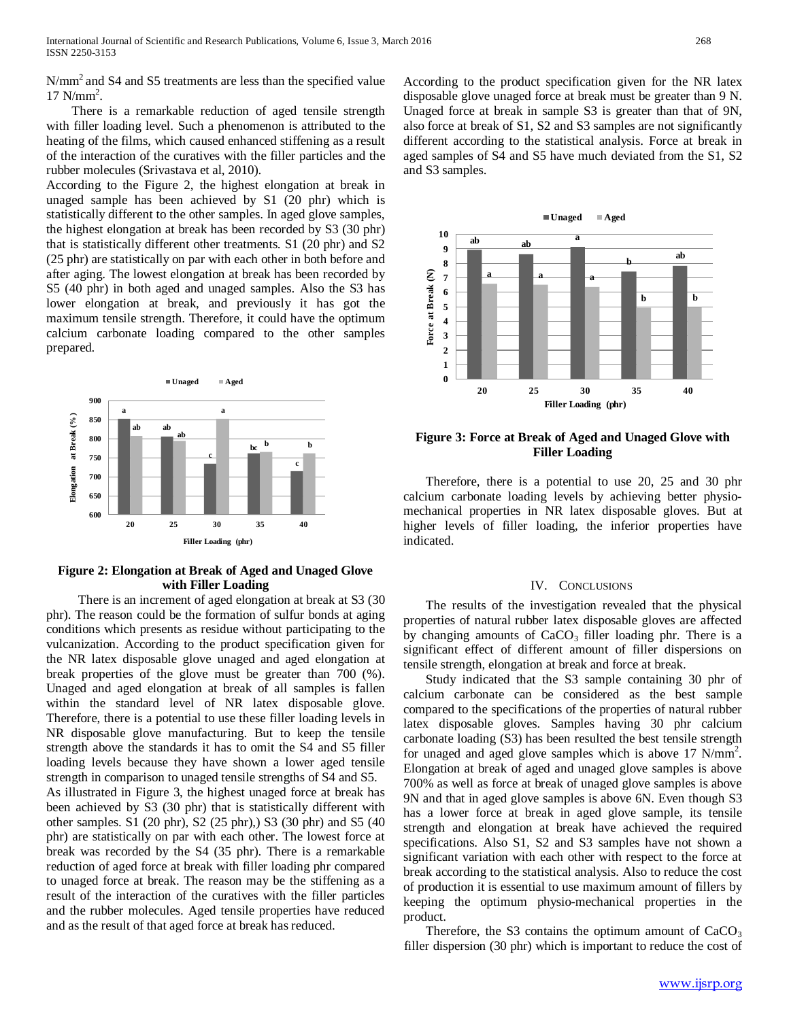N/mm<sup>2</sup> and S4 and S5 treatments are less than the specified value  $17$  N/mm<sup>2</sup>.

 There is a remarkable reduction of aged tensile strength with filler loading level. Such a phenomenon is attributed to the heating of the films, which caused enhanced stiffening as a result of the interaction of the curatives with the filler particles and the rubber molecules (Srivastava et al, 2010).

According to the Figure 2, the highest elongation at break in unaged sample has been achieved by S1 (20 phr) which is statistically different to the other samples. In aged glove samples, the highest elongation at break has been recorded by S3 (30 phr) that is statistically different other treatments. S1 (20 phr) and S2 (25 phr) are statistically on par with each other in both before and after aging. The lowest elongation at break has been recorded by S5 (40 phr) in both aged and unaged samples. Also the S3 has lower elongation at break, and previously it has got the maximum tensile strength. Therefore, it could have the optimum calcium carbonate loading compared to the other samples prepared.



# **Figure 2: Elongation at Break of Aged and Unaged Glove with Filler Loading**

 There is an increment of aged elongation at break at S3 (30 phr). The reason could be the formation of sulfur bonds at aging conditions which presents as residue without participating to the vulcanization. According to the product specification given for the NR latex disposable glove unaged and aged elongation at break properties of the glove must be greater than 700 (%). Unaged and aged elongation at break of all samples is fallen within the standard level of NR latex disposable glove. Therefore, there is a potential to use these filler loading levels in NR disposable glove manufacturing. But to keep the tensile strength above the standards it has to omit the S4 and S5 filler loading levels because they have shown a lower aged tensile strength in comparison to unaged tensile strengths of S4 and S5.

As illustrated in Figure 3, the highest unaged force at break has been achieved by S3 (30 phr) that is statistically different with other samples. S1 (20 phr), S2 (25 phr),) S3 (30 phr) and S5 (40 phr) are statistically on par with each other. The lowest force at break was recorded by the S4 (35 phr). There is a remarkable reduction of aged force at break with filler loading phr compared to unaged force at break. The reason may be the stiffening as a result of the interaction of the curatives with the filler particles and the rubber molecules. Aged tensile properties have reduced and as the result of that aged force at break has reduced.

According to the product specification given for the NR latex disposable glove unaged force at break must be greater than 9 N. Unaged force at break in sample S3 is greater than that of 9N, also force at break of S1, S2 and S3 samples are not significantly different according to the statistical analysis. Force at break in aged samples of S4 and S5 have much deviated from the S1, S2 and S3 samples.



# **Figure 3: Force at Break of Aged and Unaged Glove with Filler Loading**

 Therefore, there is a potential to use 20, 25 and 30 phr calcium carbonate loading levels by achieving better physiomechanical properties in NR latex disposable gloves. But at higher levels of filler loading, the inferior properties have indicated.

#### IV. CONCLUSIONS

 The results of the investigation revealed that the physical properties of natural rubber latex disposable gloves are affected by changing amounts of  $CaCO<sub>3</sub>$  filler loading phr. There is a significant effect of different amount of filler dispersions on tensile strength, elongation at break and force at break.

 Study indicated that the S3 sample containing 30 phr of calcium carbonate can be considered as the best sample compared to the specifications of the properties of natural rubber latex disposable gloves. Samples having 30 phr calcium carbonate loading (S3) has been resulted the best tensile strength for unaged and aged glove samples which is above 17 N/mm<sup>2</sup>. Elongation at break of aged and unaged glove samples is above 700% as well as force at break of unaged glove samples is above 9N and that in aged glove samples is above 6N. Even though S3 has a lower force at break in aged glove sample, its tensile strength and elongation at break have achieved the required specifications. Also S1, S2 and S3 samples have not shown a significant variation with each other with respect to the force at break according to the statistical analysis. Also to reduce the cost of production it is essential to use maximum amount of fillers by keeping the optimum physio-mechanical properties in the product.

Therefore, the S3 contains the optimum amount of  $CaCO<sub>3</sub>$ filler dispersion (30 phr) which is important to reduce the cost of